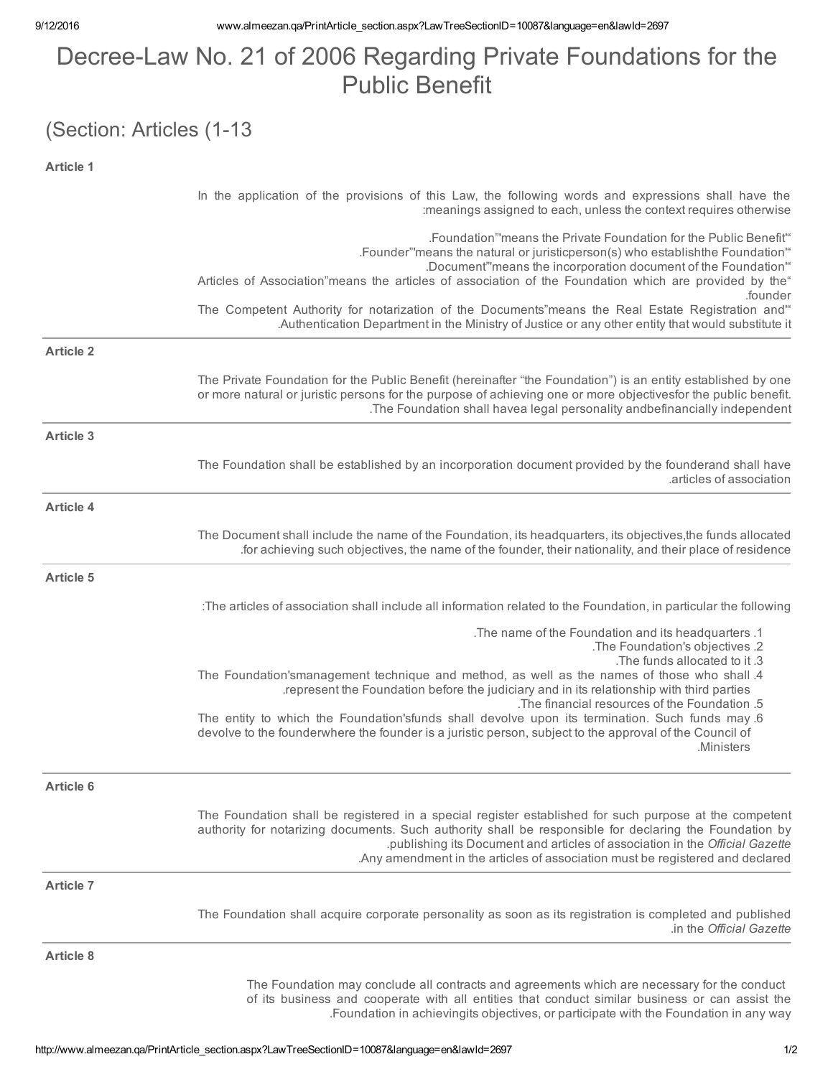## Decree-Law No. 21 of 2006 Regarding Private Foundations for the Public Benefit

## (Section: Articles (1-13

| <b>Article 1</b> |                                                                                                                                                                                                                                                                                                                                                                                     |
|------------------|-------------------------------------------------------------------------------------------------------------------------------------------------------------------------------------------------------------------------------------------------------------------------------------------------------------------------------------------------------------------------------------|
|                  | In the application of the provisions of this Law, the following words and expressions shall have the<br>: meanings assigned to each, unless the context requires otherwise                                                                                                                                                                                                          |
|                  | "Foundation" means the Private Foundation for the Public Benefit.<br>.Founder" means the natural or juristicperson(s) who establishthe Foundation"<br>.Document" means the incorporation document of the Foundation"<br>Articles of Association"means the articles of association of the Foundation which are provided by the"                                                      |
|                  | .founder<br>The Competent Authority for notarization of the Documents"means the Real Estate Registration and"<br>Authentication Department in the Ministry of Justice or any other entity that would substitute it.                                                                                                                                                                 |
| <b>Article 2</b> |                                                                                                                                                                                                                                                                                                                                                                                     |
|                  | The Private Foundation for the Public Benefit (hereinafter "the Foundation") is an entity established by one<br>or more natural or juristic persons for the purpose of achieving one or more objectivesfor the public benefit.<br>.The Foundation shall havea legal personality andbefinancially independent                                                                        |
| <b>Article 3</b> |                                                                                                                                                                                                                                                                                                                                                                                     |
|                  | The Foundation shall be established by an incorporation document provided by the founderand shall have<br>.articles of association                                                                                                                                                                                                                                                  |
| <b>Article 4</b> |                                                                                                                                                                                                                                                                                                                                                                                     |
|                  | The Document shall include the name of the Foundation, its headquarters, its objectives, the funds allocated<br>for achieving such objectives, the name of the founder, their nationality, and their place of residence.                                                                                                                                                            |
| <b>Article 5</b> |                                                                                                                                                                                                                                                                                                                                                                                     |
|                  | :The articles of association shall include all information related to the Foundation, in particular the following                                                                                                                                                                                                                                                                   |
|                  | The name of the Foundation and its headquarters .1<br>.The Foundation's objectives .2<br>.The funds allocated to it .3                                                                                                                                                                                                                                                              |
|                  | The Foundation'smanagement technique and method, as well as the names of those who shall .4<br>represent the Foundation before the judiciary and in its relationship with third parties.<br>.The financial resources of the Foundation .5                                                                                                                                           |
|                  | The entity to which the Foundation'sfunds shall devolve upon its termination. Such funds may 6<br>devolve to the founderwhere the founder is a juristic person, subject to the approval of the Council of<br>Ministers                                                                                                                                                              |
| <b>Article 6</b> |                                                                                                                                                                                                                                                                                                                                                                                     |
|                  | The Foundation shall be registered in a special register established for such purpose at the competent<br>authority for notarizing documents. Such authority shall be responsible for declaring the Foundation by<br>.publishing its Document and articles of association in the Official Gazette<br>. Any amendment in the articles of association must be registered and declared |
| <b>Article 7</b> |                                                                                                                                                                                                                                                                                                                                                                                     |
|                  | The Foundation shall acquire corporate personality as soon as its registration is completed and published<br>in the Official Gazette                                                                                                                                                                                                                                                |
| <b>Article 8</b> |                                                                                                                                                                                                                                                                                                                                                                                     |
|                  | The Foundation may conclude all contracts and agreements which are necessary for the conduct<br>of its business and cooperate with all entities that conduct similar business or can assist the                                                                                                                                                                                     |

.Foundation in achievingits objectives, or participate with the Foundation in any way